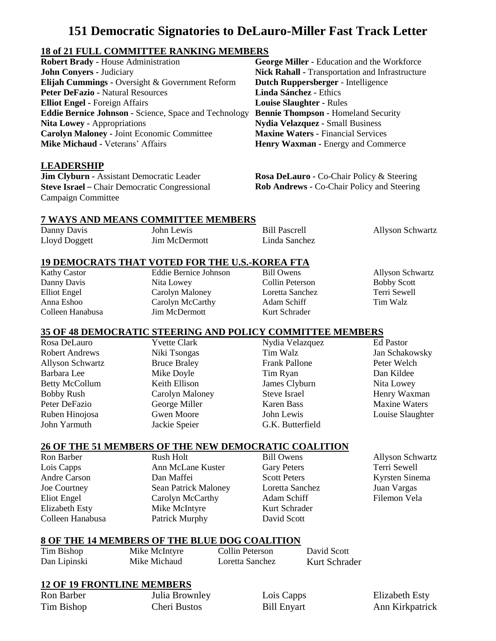# **151 Democratic Signatories to DeLauro-Miller Fast Track Letter**

# **18 of 21 FULL COMMITTEE RANKING MEMBERS**

| <b>Robert Brady - House Administration</b>                   | Georg         |
|--------------------------------------------------------------|---------------|
| <b>John Conyers - Judiciary</b>                              | <b>Nick I</b> |
| Elijah Cummings - Oversight & Government Reform              | Dutch         |
| <b>Peter DeFazio - Natural Resources</b>                     | Linda         |
| <b>Elliot Engel - Foreign Affairs</b>                        | <b>Louise</b> |
| <b>Eddie Bernice Johnson - Science, Space and Technology</b> | <b>Benni</b>  |
| <b>Nita Lowey - Appropriations</b>                           | <b>Nydia</b>  |
| <b>Carolyn Maloney - Joint Economic Committee</b>            | <b>Maxin</b>  |
| <b>Mike Michaud - Veterans' Affairs</b>                      | Henry         |

## **LEADERSHIP**

**Jim Clyburn -** Assistant Democratic Leader **Steve Israel** – Chair Democratic Congressional Campaign Committee

**EXECORDER F** Education and the Workforce **Rahall -** Transportation and Infrastructure **Ruppersberger** - Intelligence **Sánchez** - Ethics **Example Slaughter - Rules e Thompson -** Homeland Security **Nydia Velazquez -** Small Business **Maxine Waters -** Financial Services **Waxman -** Energy and Commerce

**Rosa DeLauro -** Co-Chair Policy & Steering **Rob Andrews -** Co-Chair Policy and Steering

## **7 WAYS AND MEANS COMMITTEE MEMBERS**

| Danny Davis   | John Lewis    | <b>Bill Pascrell</b> |
|---------------|---------------|----------------------|
| Lloyd Doggett | Jim McDermott | Linda Sanchez        |

## **19 DEMOCRATS THAT VOTED FOR THE U.S.-KOREA FTA**

Kathy Castor Danny Davis Elliot Engel Anna Eshoo Colleen Hanabusa Eddie Bernice Johnson Nita Lowey Carolyn Maloney Carolyn McCarthy Jim McDermott

Bill Owens Collin Peterson Loretta Sanchez Adam Schiff Kurt Schrader

Allyson Schwartz Bobby Scott Terri Sewell Tim Walz

Allyson Schwartz

# **35 OF 48 DEMOCRATIC STEERING AND POLICY COMMITTEE MEMBERS**

Rosa DeLauro Robert Andrews Allyson Schwartz Barbara Lee Betty McCollum Bobby Rush Peter DeFazio Ruben Hinojosa John Yarmuth

Yvette Clark Niki Tsongas Bruce Braley Mike Doyle Keith Ellison Carolyn Maloney George Miller Gwen Moore Jackie Speier

Nydia Velazquez Tim Walz Frank Pallone Tim Ryan James Clyburn Steve Israel Karen Bass John Lewis G.K. Butterfield

Ed Pastor Jan Schakowsky Peter Welch Dan Kildee Nita Lowey Henry Waxman Maxine Waters Louise Slaughter

# **26 OF THE 51 MEMBERS OF THE NEW DEMOCRATIC COALITION**

Ron Barber Lois Capps Andre Carson Joe Courtney Eliot Engel Elizabeth Esty Colleen Hanabusa Rush Holt Ann McLane Kuster Dan Maffei Sean Patrick Maloney Carolyn McCarthy Mike McIntyre Patrick Murphy

- Bill Owens Gary Peters Scott Peters Loretta Sanchez Adam Schiff Kurt Schrader David Scott
- Allyson Schwartz Terri Sewell Kyrsten Sinema Juan Vargas Filemon Vela

#### **8 OF THE 14 MEMBERS OF THE BLUE DOG COALITION**

Tim Bishop Dan Lipinski Mike McIntyre Mike Michaud Collin Peterson Loretta Sanchez David Scott Kurt Schrader

# **12 OF 19 FRONTLINE MEMBERS**

Ron Barber Tim Bishop Julia Brownley Cheri Bustos

Lois Capps Bill Enyart

Elizabeth Esty Ann Kirkpatrick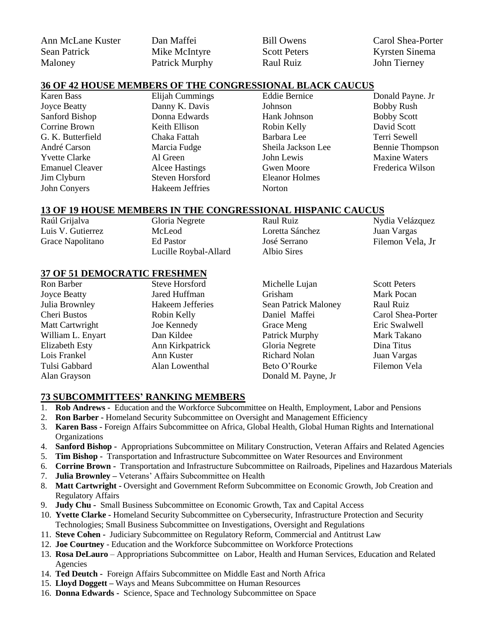Ann McLane Kuster Sean Patrick Maloney

Dan Maffei Mike McIntyre Patrick Murphy

Bill Owens Scott Peters Raul Ruiz

Carol Shea-Porter Kyrsten Sinema John Tierney

#### **36 OF 42 HOUSE MEMBERS OF THE CONGRESSIONAL BLACK CAUCUS**

Karen Bass Joyce Beatty Sanford Bishop Corrine Brown G. K. Butterfield André Carson Yvette Clarke Emanuel Cleaver Jim Clyburn John Conyers

Elijah Cummings Danny K. Davis Donna Edwards Keith Ellison Chaka Fattah Marcia Fudge Al Green Alcee Hastings Steven Horsford Hakeem Jeffries

Eddie Bernice Johnson Hank Johnson Robin Kelly Barbara Lee Sheila Jackson Lee John Lewis Gwen Moore Eleanor Holmes Norton

Donald Payne. Jr Bobby Rush Bobby Scott David Scott Terri Sewell Bennie Thompson Maxine Waters Frederica Wilson

#### **13 OF 19 HOUSE MEMBERS IN THE CONGRESSIONAL HISPANIC CAUCUS**

| Raúl Grijalva     | Gloria Negrete        | Raul Ruiz       | Nydia Velázquez  |
|-------------------|-----------------------|-----------------|------------------|
| Luis V. Gutierrez | McLeod                | Loretta Sánchez | Juan Vargas      |
| Grace Napolitano  | Ed Pastor             | José Serrano    | Filemon Vela, Jr |
|                   | Lucille Roybal-Allard | Albio Sires     |                  |

## **37 OF 51 DEMOCRATIC FRESHMEN**

| <b>Steve Horsford</b> | Michelle Lujan              | <b>Scott Peters</b> |
|-----------------------|-----------------------------|---------------------|
| Jared Huffman         | Grisham                     | Mark Pocan          |
| Hakeem Jefferies      | <b>Sean Patrick Maloney</b> | Raul Ruiz           |
| Robin Kelly           | Daniel Maffei               | Carol Shea-Porter   |
| Joe Kennedy           | Grace Meng                  | Eric Swalwell       |
| Dan Kildee            |                             | Mark Takano         |
| Ann Kirkpatrick       | Gloria Negrete              | Dina Titus          |
| Ann Kuster            | Richard Nolan               | Juan Vargas         |
| Alan Lowenthal        | Beto O'Rourke               | Filemon Vela        |
|                       | Donald M. Payne, Jr.        |                     |
|                       |                             | Patrick Murphy      |

#### **73 SUBCOMMITTEES' RANKING MEMBERS**

- 1. **Rob Andrews -** Education and the Workforce Subcommittee on Health, Employment, Labor and Pensions
- 2. **Ron Barber -** Homeland Security Subcommittee on Oversight and Management Efficiency
- 3. **Karen Bass -** Foreign Affairs Subcommittee on Africa, Global Health, Global Human Rights and International **Organizations**
- 4. **Sanford Bishop** Appropriations Subcommittee on Military Construction, Veteran Affairs and Related Agencies
- 5. **Tim Bishop** Transportation and Infrastructure Subcommittee on Water Resources and Environment
- 6. **Corrine Brown -** Transportation and Infrastructure Subcommittee on Railroads, Pipelines and Hazardous Materials
- 7. **Julia Brownley –** Veterans' Affairs Subcommittee on Health
- 8. **Matt Cartwright -** Oversight and Government Reform Subcommittee on Economic Growth, Job Creation and Regulatory Affairs
- 9. **Judy Chu -** Small Business Subcommittee on Economic Growth, Tax and Capital Access
- 10. **Yvette Clarke -** Homeland Security Subcommittee on Cybersecurity, Infrastructure Protection and Security Technologies; Small Business Subcommittee on Investigations, Oversight and Regulations
- 11. **Steve Cohen -** Judiciary Subcommittee on Regulatory Reform, Commercial and Antitrust Law
- 12. **Joe Courtney** Education and the Workforce Subcommittee on Workforce Protections
- 13. **Rosa DeLauro** Appropriations Subcommittee on Labor, Health and Human Services, Education and Related Agencies
- 14. **Ted Deutch -** Foreign Affairs Subcommittee on Middle East and North Africa
- 15. **Lloyd Doggett –** Ways and Means Subcommittee on Human Resources
- 16. **Donna Edwards -** Science, Space and Technology Subcommittee on Space